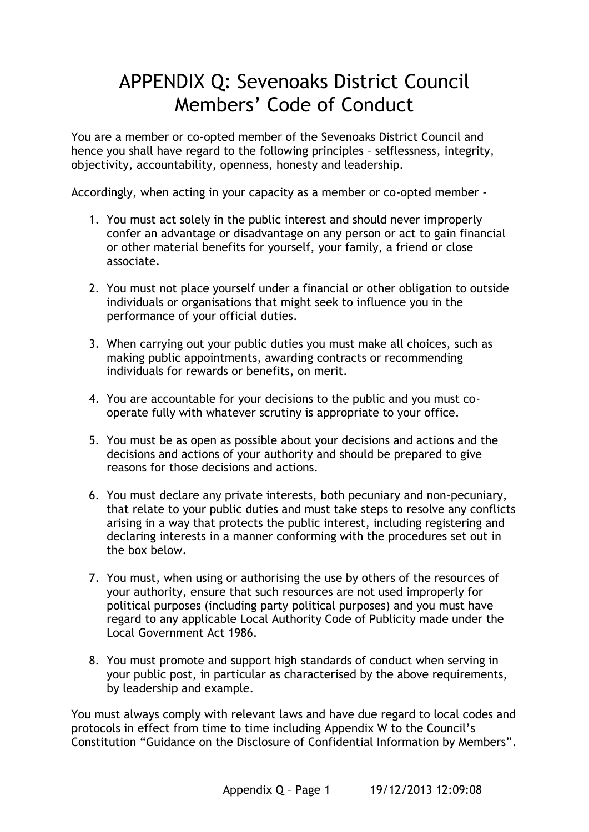# APPENDIX Q: Sevenoaks District Council Members' Code of Conduct

You are a member or co-opted member of the Sevenoaks District Council and hence you shall have regard to the following principles – selflessness, integrity, objectivity, accountability, openness, honesty and leadership.

Accordingly, when acting in your capacity as a member or co-opted member -

- 1. You must act solely in the public interest and should never improperly confer an advantage or disadvantage on any person or act to gain financial or other material benefits for yourself, your family, a friend or close associate.
- 2. You must not place yourself under a financial or other obligation to outside individuals or organisations that might seek to influence you in the performance of your official duties.
- 3. When carrying out your public duties you must make all choices, such as making public appointments, awarding contracts or recommending individuals for rewards or benefits, on merit.
- 4. You are accountable for your decisions to the public and you must cooperate fully with whatever scrutiny is appropriate to your office.
- 5. You must be as open as possible about your decisions and actions and the decisions and actions of your authority and should be prepared to give reasons for those decisions and actions.
- 6. You must declare any private interests, both pecuniary and non-pecuniary, that relate to your public duties and must take steps to resolve any conflicts arising in a way that protects the public interest, including registering and declaring interests in a manner conforming with the procedures set out in the box below.
- 7. You must, when using or authorising the use by others of the resources of your authority, ensure that such resources are not used improperly for political purposes (including party political purposes) and you must have regard to any applicable Local Authority Code of Publicity made under the Local Government Act 1986.
- 8. You must promote and support high standards of conduct when serving in your public post, in particular as characterised by the above requirements, by leadership and example.

You must always comply with relevant laws and have due regard to local codes and protocols in effect from time to time including Appendix W to the Council's Constitution "Guidance on the Disclosure of Confidential Information by Members".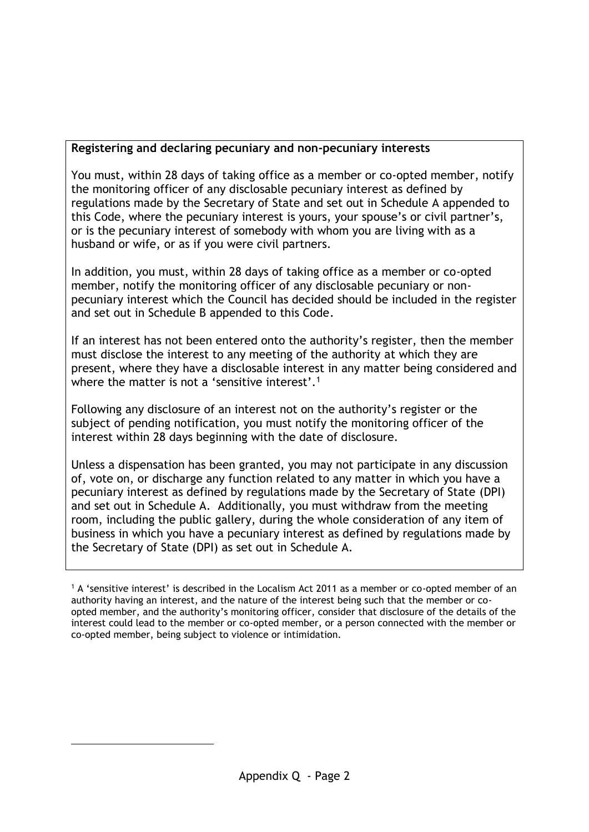## **Registering and declaring pecuniary and non-pecuniary interests**

You must, within 28 days of taking office as a member or co-opted member, notify the monitoring officer of any disclosable pecuniary interest as defined by regulations made by the Secretary of State and set out in Schedule A appended to this Code, where the pecuniary interest is yours, your spouse's or civil partner's, or is the pecuniary interest of somebody with whom you are living with as a husband or wife, or as if you were civil partners.

In addition, you must, within 28 days of taking office as a member or co-opted member, notify the monitoring officer of any disclosable pecuniary or nonpecuniary interest which the Council has decided should be included in the register and set out in Schedule B appended to this Code.

If an interest has not been entered onto the authority's register, then the member must disclose the interest to any meeting of the authority at which they are present, where they have a disclosable interest in any matter being considered and where the matter is not a 'sensitive interest'.<sup>1</sup>

Following any disclosure of an interest not on the authority's register or the subject of pending notification, you must notify the monitoring officer of the interest within 28 days beginning with the date of disclosure.

Unless a dispensation has been granted, you may not participate in any discussion of, vote on, or discharge any function related to any matter in which you have a pecuniary interest as defined by regulations made by the Secretary of State (DPI) and set out in Schedule A. Additionally, you must withdraw from the meeting room, including the public gallery, during the whole consideration of any item of business in which you have a pecuniary interest as defined by regulations made by the Secretary of State (DPI) as set out in Schedule A.

<sup>1</sup> A 'sensitive interest' is described in the Localism Act 2011 as a member or co-opted member of an authority having an interest, and the nature of the interest being such that the member or coopted member, and the authority's monitoring officer, consider that disclosure of the details of the interest could lead to the member or co-opted member, or a person connected with the member or co-opted member, being subject to violence or intimidation.

1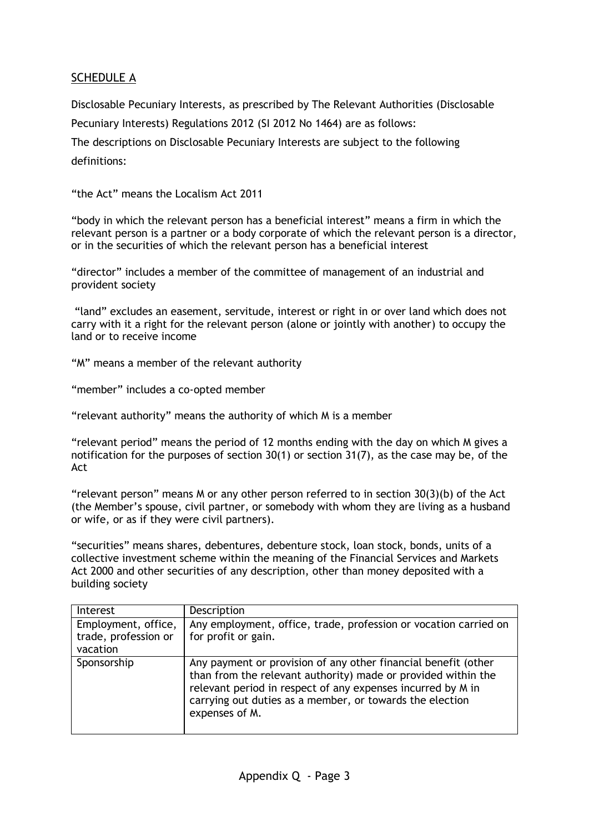## SCHEDULE A

Disclosable Pecuniary Interests, as prescribed by The Relevant Authorities (Disclosable Pecuniary Interests) Regulations 2012 (SI 2012 No 1464) are as follows: The descriptions on Disclosable Pecuniary Interests are subject to the following definitions:

"the Act" means the Localism Act 2011

"body in which the relevant person has a beneficial interest" means a firm in which the relevant person is a partner or a body corporate of which the relevant person is a director, or in the securities of which the relevant person has a beneficial interest

"director" includes a member of the committee of management of an industrial and provident society

"land" excludes an easement, servitude, interest or right in or over land which does not carry with it a right for the relevant person (alone or jointly with another) to occupy the land or to receive income

"M" means a member of the relevant authority

"member" includes a co-opted member

"relevant authority" means the authority of which M is a member

"relevant period" means the period of 12 months ending with the day on which M gives a notification for the purposes of section 30(1) or section 31(7), as the case may be, of the Act

"relevant person" means M or any other person referred to in section  $30(3)(b)$  of the Act (the Member's spouse, civil partner, or somebody with whom they are living as a husband or wife, or as if they were civil partners).

"securities" means shares, debentures, debenture stock, loan stock, bonds, units of a collective investment scheme within the meaning of the Financial Services and Markets Act 2000 and other securities of any description, other than money deposited with a building society

| Interest                                                | Description                                                                                                                                                                                                                                                                  |
|---------------------------------------------------------|------------------------------------------------------------------------------------------------------------------------------------------------------------------------------------------------------------------------------------------------------------------------------|
| Employment, office,<br>trade, profession or<br>vacation | Any employment, office, trade, profession or vocation carried on<br>for profit or gain.                                                                                                                                                                                      |
| Sponsorship                                             | Any payment or provision of any other financial benefit (other<br>than from the relevant authority) made or provided within the<br>relevant period in respect of any expenses incurred by M in<br>carrying out duties as a member, or towards the election<br>expenses of M. |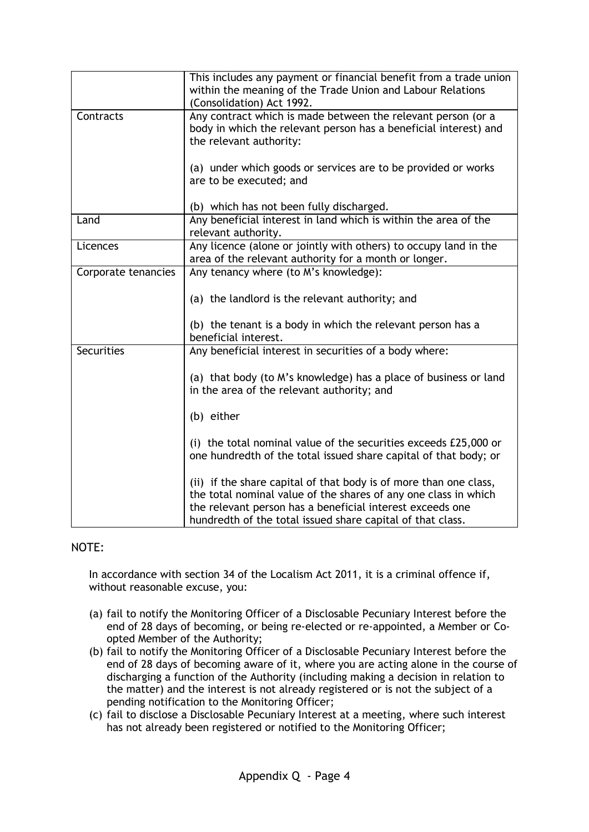|                     | This includes any payment or financial benefit from a trade union<br>within the meaning of the Trade Union and Labour Relations<br>(Consolidation) Act 1992.                                                                                                    |
|---------------------|-----------------------------------------------------------------------------------------------------------------------------------------------------------------------------------------------------------------------------------------------------------------|
| Contracts           | Any contract which is made between the relevant person (or a<br>body in which the relevant person has a beneficial interest) and<br>the relevant authority:                                                                                                     |
|                     | (a) under which goods or services are to be provided or works<br>are to be executed; and                                                                                                                                                                        |
|                     | (b) which has not been fully discharged.                                                                                                                                                                                                                        |
| Land                | Any beneficial interest in land which is within the area of the<br>relevant authority.                                                                                                                                                                          |
| Licences            | Any licence (alone or jointly with others) to occupy land in the<br>area of the relevant authority for a month or longer.                                                                                                                                       |
| Corporate tenancies | Any tenancy where (to M's knowledge):                                                                                                                                                                                                                           |
|                     | (a) the landlord is the relevant authority; and                                                                                                                                                                                                                 |
|                     | (b) the tenant is a body in which the relevant person has a<br>beneficial interest.                                                                                                                                                                             |
| <b>Securities</b>   | Any beneficial interest in securities of a body where:                                                                                                                                                                                                          |
|                     | (a) that body (to M's knowledge) has a place of business or land<br>in the area of the relevant authority; and                                                                                                                                                  |
|                     | (b) either                                                                                                                                                                                                                                                      |
|                     | (i) the total nominal value of the securities exceeds £25,000 or<br>one hundredth of the total issued share capital of that body; or                                                                                                                            |
|                     | (ii) if the share capital of that body is of more than one class,<br>the total nominal value of the shares of any one class in which<br>the relevant person has a beneficial interest exceeds one<br>hundredth of the total issued share capital of that class. |

#### NOTE:

In accordance with section 34 of the Localism Act 2011, it is a criminal offence if, without reasonable excuse, you:

- (a) fail to notify the Monitoring Officer of a Disclosable Pecuniary Interest before the end of 28 days of becoming, or being re-elected or re-appointed, a Member or Coopted Member of the Authority;
- (b) fail to notify the Monitoring Officer of a Disclosable Pecuniary Interest before the end of 28 days of becoming aware of it, where you are acting alone in the course of discharging a function of the Authority (including making a decision in relation to the matter) and the interest is not already registered or is not the subject of a pending notification to the Monitoring Officer;
- (c) fail to disclose a Disclosable Pecuniary Interest at a meeting, where such interest has not already been registered or notified to the Monitoring Officer;